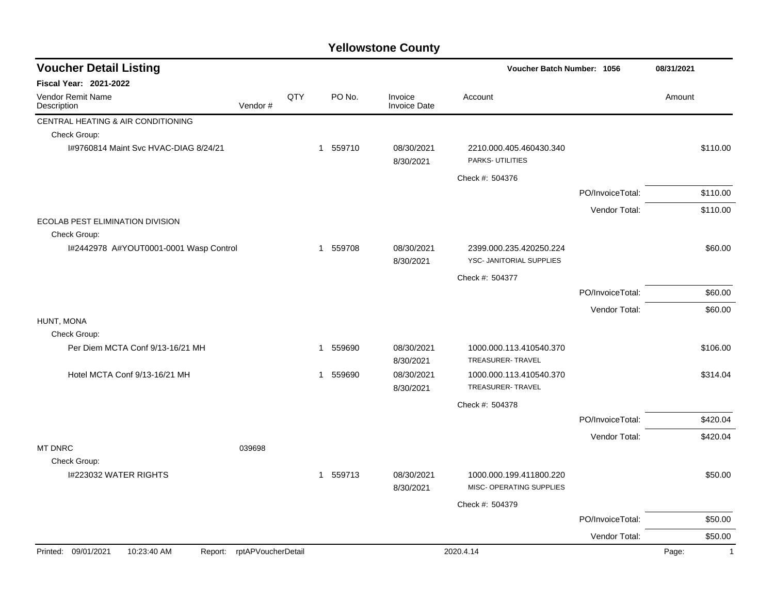## **Yellowstone County**

| <b>Voucher Detail Listing</b>           |                            |     |             |        |                                | Voucher Batch Number: 1056                          |                  | 08/31/2021            |
|-----------------------------------------|----------------------------|-----|-------------|--------|--------------------------------|-----------------------------------------------------|------------------|-----------------------|
| <b>Fiscal Year: 2021-2022</b>           |                            |     |             |        |                                |                                                     |                  |                       |
| <b>Vendor Remit Name</b><br>Description | Vendor#                    | QTY |             | PO No. | Invoice<br><b>Invoice Date</b> | Account                                             |                  | Amount                |
| CENTRAL HEATING & AIR CONDITIONING      |                            |     |             |        |                                |                                                     |                  |                       |
| Check Group:                            |                            |     |             |        |                                |                                                     |                  |                       |
| 1#9760814 Maint Svc HVAC-DIAG 8/24/21   |                            |     | 1 559710    |        | 08/30/2021<br>8/30/2021        | 2210.000.405.460430.340<br>PARKS- UTILITIES         |                  | \$110.00              |
|                                         |                            |     |             |        |                                | Check #: 504376                                     |                  |                       |
|                                         |                            |     |             |        |                                |                                                     | PO/InvoiceTotal: | \$110.00              |
|                                         |                            |     |             |        |                                |                                                     | Vendor Total:    | \$110.00              |
| <b>ECOLAB PEST ELIMINATION DIVISION</b> |                            |     |             |        |                                |                                                     |                  |                       |
| Check Group:                            |                            |     |             |        |                                |                                                     |                  |                       |
| I#2442978 A#YOUT0001-0001 Wasp Control  |                            |     | 1 559708    |        | 08/30/2021<br>8/30/2021        | 2399.000.235.420250.224<br>YSC- JANITORIAL SUPPLIES |                  | \$60.00               |
|                                         |                            |     |             |        |                                | Check #: 504377                                     |                  |                       |
|                                         |                            |     |             |        |                                |                                                     | PO/InvoiceTotal: | \$60.00               |
|                                         |                            |     |             |        |                                |                                                     | Vendor Total:    | \$60.00               |
| HUNT, MONA<br>Check Group:              |                            |     |             |        |                                |                                                     |                  |                       |
| Per Diem MCTA Conf 9/13-16/21 MH        |                            |     | 1           | 559690 | 08/30/2021<br>8/30/2021        | 1000.000.113.410540.370<br>TREASURER-TRAVEL         |                  | \$106.00              |
| Hotel MCTA Conf 9/13-16/21 MH           |                            |     | 1           | 559690 | 08/30/2021                     | 1000.000.113.410540.370                             |                  | \$314.04              |
|                                         |                            |     |             |        | 8/30/2021                      | TREASURER-TRAVEL                                    |                  |                       |
|                                         |                            |     |             |        |                                | Check #: 504378                                     |                  |                       |
|                                         |                            |     |             |        |                                |                                                     | PO/InvoiceTotal: | \$420.04              |
|                                         |                            |     |             |        |                                |                                                     | Vendor Total:    | \$420.04              |
| <b>MT DNRC</b>                          | 039698                     |     |             |        |                                |                                                     |                  |                       |
| Check Group:                            |                            |     |             |        |                                |                                                     |                  |                       |
| I#223032 WATER RIGHTS                   |                            |     | $\mathbf 1$ | 559713 | 08/30/2021<br>8/30/2021        | 1000.000.199.411800.220<br>MISC- OPERATING SUPPLIES |                  | \$50.00               |
|                                         |                            |     |             |        |                                | Check #: 504379                                     |                  |                       |
|                                         |                            |     |             |        |                                |                                                     | PO/InvoiceTotal: | \$50.00               |
|                                         |                            |     |             |        |                                |                                                     | Vendor Total:    | \$50.00               |
| Printed: 09/01/2021<br>10:23:40 AM      | Report: rptAPVoucherDetail |     |             |        |                                | 2020.4.14                                           |                  | Page:<br>$\mathbf{1}$ |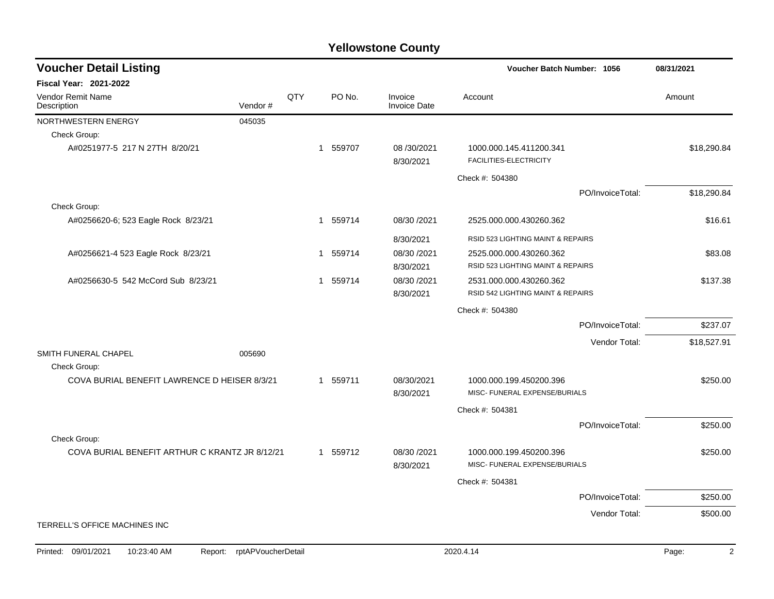## **Yellowstone County**

| <b>Voucher Detail Listing</b>                  |                    |     |          |                                | Voucher Batch Number: 1056                        |                  | 08/31/2021              |
|------------------------------------------------|--------------------|-----|----------|--------------------------------|---------------------------------------------------|------------------|-------------------------|
| Fiscal Year: 2021-2022                         |                    |     |          |                                |                                                   |                  |                         |
| <b>Vendor Remit Name</b><br>Description        | Vendor#            | QTY | PO No.   | Invoice<br><b>Invoice Date</b> | Account                                           |                  | Amount                  |
| NORTHWESTERN ENERGY                            | 045035             |     |          |                                |                                                   |                  |                         |
| Check Group:                                   |                    |     |          |                                |                                                   |                  |                         |
| A#0251977-5 217 N 27TH 8/20/21                 |                    |     | 1 559707 | 08 / 30 / 2021<br>8/30/2021    | 1000.000.145.411200.341<br>FACILITIES-ELECTRICITY |                  | \$18,290.84             |
|                                                |                    |     |          |                                | Check #: 504380                                   |                  |                         |
|                                                |                    |     |          |                                |                                                   | PO/InvoiceTotal: | \$18,290.84             |
| Check Group:                                   |                    |     |          |                                |                                                   |                  |                         |
| A#0256620-6; 523 Eagle Rock 8/23/21            |                    |     | 1 559714 | 08/30 /2021                    | 2525.000.000.430260.362                           |                  | \$16.61                 |
|                                                |                    |     |          | 8/30/2021                      | RSID 523 LIGHTING MAINT & REPAIRS                 |                  |                         |
| A#0256621-4 523 Eagle Rock 8/23/21             |                    |     | 1 559714 | 08/30 /2021                    | 2525.000.000.430260.362                           |                  | \$83.08                 |
|                                                |                    |     |          | 8/30/2021                      | RSID 523 LIGHTING MAINT & REPAIRS                 |                  |                         |
| A#0256630-5 542 McCord Sub 8/23/21             |                    |     | 1 559714 | 08/30 /2021                    | 2531.000.000.430260.362                           |                  | \$137.38                |
|                                                |                    |     |          | 8/30/2021                      | RSID 542 LIGHTING MAINT & REPAIRS                 |                  |                         |
|                                                |                    |     |          |                                | Check #: 504380                                   |                  |                         |
|                                                |                    |     |          |                                |                                                   | PO/InvoiceTotal: | \$237.07                |
|                                                |                    |     |          |                                |                                                   | Vendor Total:    | \$18,527.91             |
| SMITH FUNERAL CHAPEL                           | 005690             |     |          |                                |                                                   |                  |                         |
| Check Group:                                   |                    |     |          |                                |                                                   |                  |                         |
| COVA BURIAL BENEFIT LAWRENCE D HEISER 8/3/21   |                    |     | 1 559711 | 08/30/2021                     | 1000.000.199.450200.396                           |                  | \$250.00                |
|                                                |                    |     |          | 8/30/2021                      | MISC- FUNERAL EXPENSE/BURIALS                     |                  |                         |
|                                                |                    |     |          |                                | Check #: 504381                                   |                  |                         |
|                                                |                    |     |          |                                |                                                   | PO/InvoiceTotal: | \$250.00                |
| Check Group:                                   |                    |     |          |                                |                                                   |                  |                         |
| COVA BURIAL BENEFIT ARTHUR C KRANTZ JR 8/12/21 |                    |     | 1 559712 | 08/30 /2021                    | 1000.000.199.450200.396                           |                  | \$250.00                |
|                                                |                    |     |          | 8/30/2021                      | MISC- FUNERAL EXPENSE/BURIALS                     |                  |                         |
|                                                |                    |     |          |                                | Check #: 504381                                   |                  |                         |
|                                                |                    |     |          |                                |                                                   | PO/InvoiceTotal: | \$250.00                |
|                                                |                    |     |          |                                |                                                   | Vendor Total:    | \$500.00                |
| TERRELL'S OFFICE MACHINES INC                  |                    |     |          |                                |                                                   |                  |                         |
|                                                |                    |     |          |                                |                                                   |                  |                         |
| Printed: 09/01/2021<br>10:23:40 AM<br>Report:  | rptAPVoucherDetail |     |          |                                | 2020.4.14                                         |                  | $\overline{2}$<br>Page: |